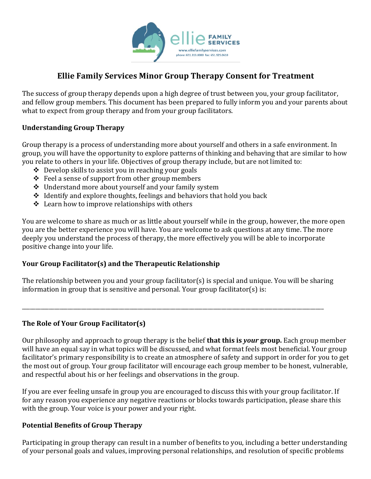

# **Ellie Family Services Minor Group Therapy Consent for Treatment**

The success of group therapy depends upon a high degree of trust between you, your group facilitator, and fellow group members. This document has been prepared to fully inform you and your parents about what to expect from group therapy and from your group facilitators.

#### **Understanding Group Therapy**

Group therapy is a process of understanding more about yourself and others in a safe environment. In group, you will have the opportunity to explore patterns of thinking and behaving that are similar to how you relate to others in your life. Objectives of group therapy include, but are not limited to:

- $\div$  Develop skills to assist you in reaching your goals
- $\div$  Feel a sense of support from other group members
- $\div$  Understand more about yourself and your family system
- $\triangleleft$  Identify and explore thoughts, feelings and behaviors that hold you back
- $\triangle$  Learn how to improve relationships with others

You are welcome to share as much or as little about yourself while in the group, however, the more open you are the better experience you will have. You are welcome to ask questions at any time. The more deeply you understand the process of therapy, the more effectively you will be able to incorporate positive change into your life.

#### **Your Group Facilitator(s) and the Therapeutic Relationship**

The relationship between you and your group facilitator(s) is special and unique. You will be sharing information in group that is sensitive and personal. Your group facilitator(s) is:

\_\_\_\_\_\_\_\_\_\_\_\_\_\_\_\_\_\_\_\_\_\_\_\_\_\_\_\_\_\_\_\_\_\_\_\_\_\_\_\_\_\_\_\_\_\_\_\_\_\_\_\_\_\_\_\_\_\_\_\_\_\_\_\_\_\_\_\_\_\_\_\_\_\_\_\_\_\_\_\_\_\_\_\_\_\_\_\_\_\_\_\_\_\_\_\_\_\_\_\_\_\_\_\_\_\_\_\_\_\_\_\_

#### **The Role of Your Group Facilitator(s)**

Our philosophy and approach to group therapy is the belief **that this is** *your* **group**. Each group member will have an equal say in what topics will be discussed, and what format feels most beneficial. Your group facilitator's primary responsibility is to create an atmosphere of safety and support in order for you to get the most out of group. Your group facilitator will encourage each group member to be honest, vulnerable, and respectful about his or her feelings and observations in the group.

If you are ever feeling unsafe in group you are encouraged to discuss this with your group facilitator. If for any reason you experience any negative reactions or blocks towards participation, please share this with the group. Your voice is your power and your right.

#### **Potential Benefits of Group Therapy**

Participating in group therapy can result in a number of benefits to you, including a better understanding of your personal goals and values, improving personal relationships, and resolution of specific problems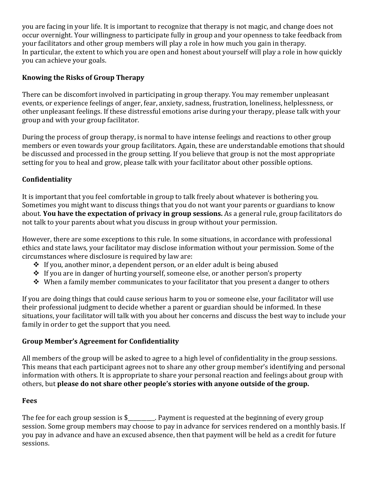you are facing in your life. It is important to recognize that therapy is not magic, and change does not occur overnight. Your willingness to participate fully in group and your openness to take feedback from your facilitators and other group members will play a role in how much you gain in therapy. In particular, the extent to which you are open and honest about yourself will play a role in how quickly you can achieve your goals.

## **Knowing the Risks of Group Therapy**

There can be discomfort involved in participating in group therapy. You may remember unpleasant events, or experience feelings of anger, fear, anxiety, sadness, frustration, loneliness, helplessness, or other unpleasant feelings. If these distressful emotions arise during your therapy, please talk with your group and with your group facilitator.

During the process of group therapy, is normal to have intense feelings and reactions to other group members or even towards your group facilitators. Again, these are understandable emotions that should be discussed and processed in the group setting. If you believe that group is not the most appropriate setting for you to heal and grow, please talk with your facilitator about other possible options.

### **Confidentiality**

It is important that you feel comfortable in group to talk freely about whatever is bothering you. Sometimes you might want to discuss things that you do not want your parents or guardians to know about. **You have the expectation of privacy in group sessions.** As a general rule, group facilitators do not talk to your parents about what you discuss in group without your permission.

However, there are some exceptions to this rule. In some situations, in accordance with professional ethics and state laws, your facilitator may disclose information without your permission. Some of the circumstances where disclosure is required by law are:

- $\cdot$  If you, another minor, a dependent person, or an elder adult is being abused
- $\cdot$  If you are in danger of hurting yourself, someone else, or another person's property
- $\cdot$  When a family member communicates to your facilitator that you present a danger to others

If you are doing things that could cause serious harm to you or someone else, your facilitator will use their professional judgment to decide whether a parent or guardian should be informed. In these situations, your facilitator will talk with you about her concerns and discuss the best way to include your family in order to get the support that you need.

#### **Group Member's Agreement for Confidentiality**

All members of the group will be asked to agree to a high level of confidentiality in the group sessions. This means that each participant agrees not to share any other group member's identifying and personal information with others. It is appropriate to share your personal reaction and feelings about group with others, but please do not share other people's stories with anyone outside of the group.

#### **Fees**

The fee for each group session is  $\frac{1}{2}$ . Payment is requested at the beginning of every group session. Some group members may choose to pay in advance for services rendered on a monthly basis. If you pay in advance and have an excused absence, then that payment will be held as a credit for future sessions.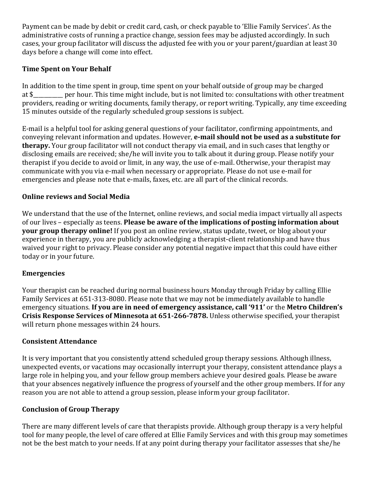Payment can be made by debit or credit card, cash, or check payable to 'Ellie Family Services'. As the administrative costs of running a practice change, session fees may be adjusted accordingly. In such cases, your group facilitator will discuss the adjusted fee with you or your parent/guardian at least 30 days before a change will come into effect.

#### **Time Spent on Your Behalf**

In addition to the time spent in group, time spent on your behalf outside of group may be charged at \$ per hour. This time might include, but is not limited to: consultations with other treatment providers, reading or writing documents, family therapy, or report writing. Typically, any time exceeding 15 minutes outside of the regularly scheduled group sessions is subject.

E-mail is a helpful tool for asking general questions of your facilitator, confirming appointments, and conveying relevant information and updates. However, **e-mail should not be used as a substitute for therapy.** Your group facilitator will not conduct therapy via email, and in such cases that lengthy or disclosing emails are received; she/he will invite you to talk about it during group. Please notify your therapist if you decide to avoid or limit, in any way, the use of e-mail. Otherwise, your therapist may communicate with you via e-mail when necessary or appropriate. Please do not use e-mail for emergencies and please note that e-mails, faxes, etc. are all part of the clinical records.

#### **Online reviews and Social Media**

We understand that the use of the Internet, online reviews, and social media impact virtually all aspects of our lives – especially as teens. **Please be aware of the implications of posting information about your group therapy online!** If you post an online review, status update, tweet, or blog about your experience in therapy, you are publicly acknowledging a therapist-client relationship and have thus waived your right to privacy. Please consider any potential negative impact that this could have either today or in your future.

#### **Emergencies**

Your therapist can be reached during normal business hours Monday through Friday by calling Ellie Family Services at 651-313-8080. Please note that we may not be immediately available to handle emergency situations. If you are in need of emergency assistance, call '911' or the Metro Children's **Crisis Response Services of Minnesota at 651-266-7878.** Unless otherwise specified, your therapist will return phone messages within 24 hours.

#### **Consistent Attendance**

It is very important that you consistently attend scheduled group therapy sessions. Although illness, unexpected events, or vacations may occasionally interrupt your therapy, consistent attendance plays a large role in helping you, and your fellow group members achieve your desired goals. Please be aware that your absences negatively influence the progress of yourself and the other group members. If for any reason you are not able to attend a group session, please inform your group facilitator.

#### **Conclusion of Group Therapy**

There are many different levels of care that therapists provide. Although group therapy is a very helpful tool for many people, the level of care offered at Ellie Family Services and with this group may sometimes not be the best match to your needs. If at any point during therapy your facilitator assesses that she/he